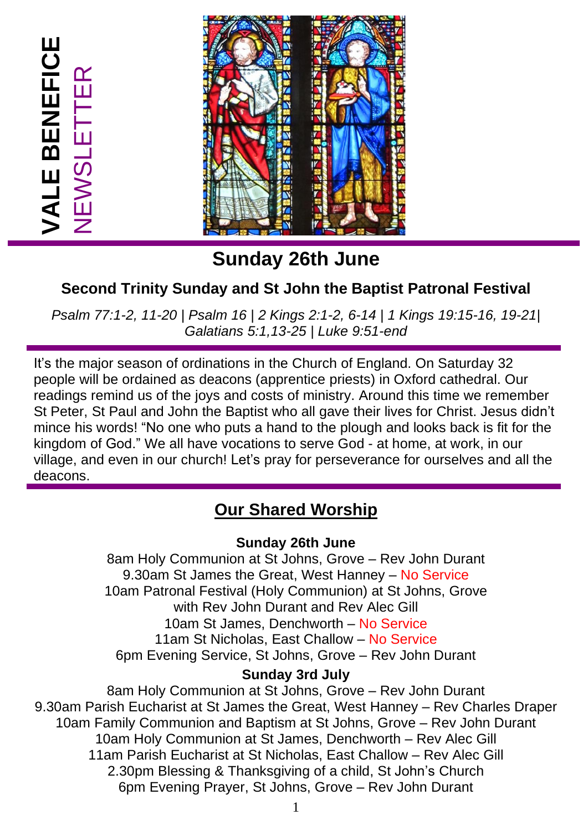**VALE BENEFICE**

**/ALE BENEFICE** 

NEWSLETTER

# **Sunday 26th June**

## **Second Trinity Sunday and St John the Baptist Patronal Festival**

*Psalm 77:1-2, 11-20 | Psalm 16 | 2 Kings 2:1-2, 6-14 | 1 Kings 19:15-16, 19-21| Galatians 5:1,13-25 | Luke 9:51-end*

It's the major season of ordinations in the Church of England. On Saturday 32 people will be ordained as deacons (apprentice priests) in Oxford cathedral. Our readings remind us of the joys and costs of ministry. Around this time we remember St Peter, St Paul and John the Baptist who all gave their lives for Christ. Jesus didn't mince his words! "No one who puts a hand to the plough and looks back is fit for the kingdom of God." We all have vocations to serve God - at home, at work, in our village, and even in our church! Let's pray for perseverance for ourselves and all the deacons.

## **Our Shared Worship**

#### **Sunday 26th June**

8am Holy Communion at St Johns, Grove – Rev John Durant 9.30am St James the Great, West Hanney – No Service 10am Patronal Festival (Holy Communion) at St Johns, Grove with Rev John Durant and Rev Alec Gill 10am St James, Denchworth – No Service 11am St Nicholas, East Challow – No Service 6pm Evening Service, St Johns, Grove – Rev John Durant

#### **Sunday 3rd July**

8am Holy Communion at St Johns, Grove – Rev John Durant 9.30am Parish Eucharist at St James the Great, West Hanney – Rev Charles Draper 10am Family Communion and Baptism at St Johns, Grove – Rev John Durant 10am Holy Communion at St James, Denchworth – Rev Alec Gill 11am Parish Eucharist at St Nicholas, East Challow – Rev Alec Gill 2.30pm Blessing & Thanksgiving of a child, St John's Church 6pm Evening Prayer, St Johns, Grove – Rev John Durant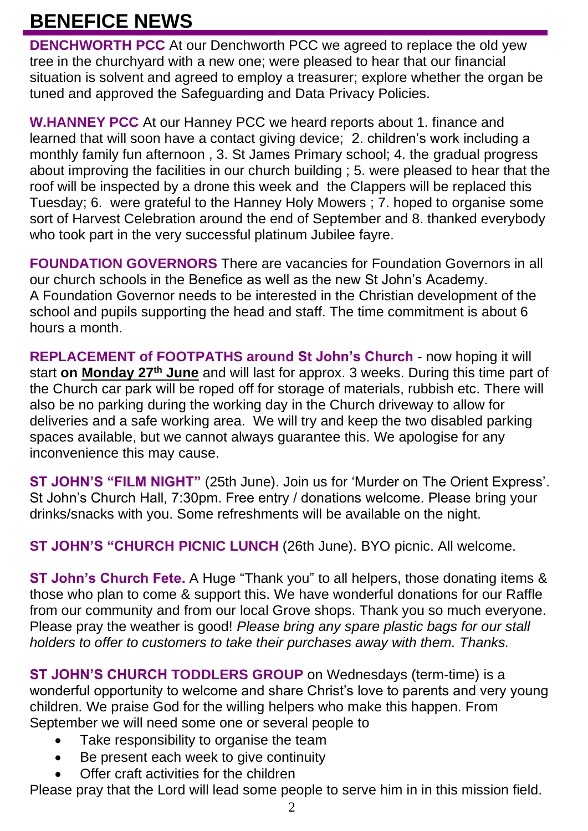## **BENEFICE NEWS**

**DENCHWORTH PCC** At our Denchworth PCC we agreed to replace the old yew tree in the churchyard with a new one; were pleased to hear that our financial situation is solvent and agreed to employ a treasurer; explore whether the organ be tuned and approved the Safeguarding and Data Privacy Policies.

**W.HANNEY PCC** At our Hanney PCC we heard reports about 1. finance and learned that will soon have a contact giving device; 2. children's work including a monthly family fun afternoon , 3. St James Primary school; 4. the gradual progress about improving the facilities in our church building ; 5. were pleased to hear that the roof will be inspected by a drone this week and the Clappers will be replaced this Tuesday; 6. were grateful to the Hanney Holy Mowers ; 7. hoped to organise some sort of Harvest Celebration around the end of September and 8. thanked everybody who took part in the very successful platinum Jubilee fayre.

**FOUNDATION GOVERNORS** There are vacancies for Foundation Governors in all our church schools in the Benefice as well as the new St John's Academy. A Foundation Governor needs to be interested in the Christian development of the school and pupils supporting the head and staff. The time commitment is about 6 hours a month.

**REPLACEMENT of FOOTPATHS around St John's Church** - now hoping it will start **on Monday 27th June** and will last for approx. 3 weeks. During this time part of the Church car park will be roped off for storage of materials, rubbish etc. There will also be no parking during the working day in the Church driveway to allow for deliveries and a safe working area. We will try and keep the two disabled parking spaces available, but we cannot always quarantee this. We apologise for any inconvenience this may cause.

**ST JOHN'S "FILM NIGHT"** (25th June). Join us for 'Murder on The Orient Express'. St John's Church Hall, 7:30pm. Free entry / donations welcome. Please bring your drinks/snacks with you. Some refreshments will be available on the night.

**ST JOHN'S "CHURCH PICNIC LUNCH** (26th June). BYO picnic. All welcome.

**ST John's Church Fete.** A Huge "Thank you" to all helpers, those donating items & those who plan to come & support this. We have wonderful donations for our Raffle from our community and from our local Grove shops. Thank you so much everyone. Please pray the weather is good! *Please bring any spare plastic bags for our stall holders to offer to customers to take their purchases away with them. Thanks.*

**ST JOHN'S CHURCH TODDLERS GROUP** on Wednesdays (term-time) is a wonderful opportunity to welcome and share Christ's love to parents and very young children. We praise God for the willing helpers who make this happen. From September we will need some one or several people to

- Take responsibility to organise the team
- Be present each week to give continuity
- Offer craft activities for the children

Please pray that the Lord will lead some people to serve him in in this mission field.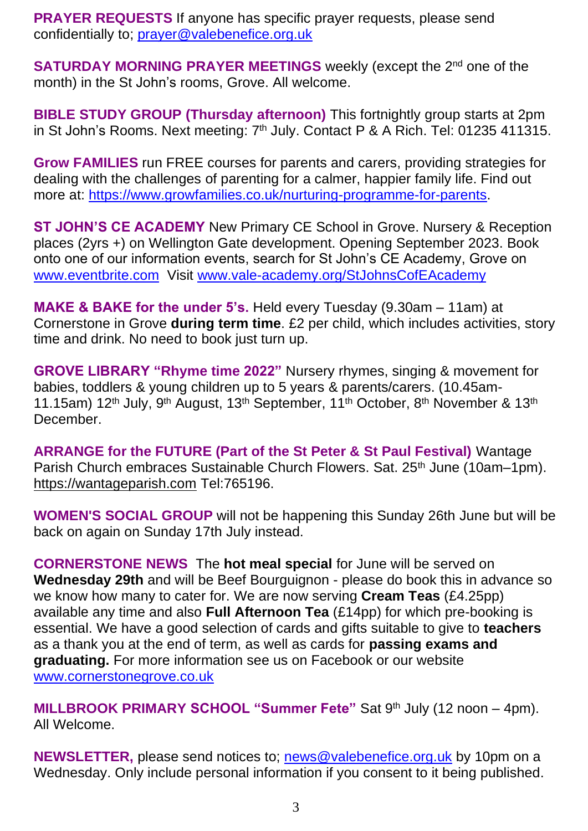**PRAYER REQUESTS** If anyone has specific prayer requests, please send confidentially to; [prayer@valebenefice.org.uk](mailto:prayer@valebenefice.org.uk)

**SATURDAY MORNING PRAYER MEETINGS** weekly (except the 2<sup>nd</sup> one of the month) in the St John's rooms, Grove. All welcome.

**BIBLE STUDY GROUP (Thursday afternoon)** This fortnightly group starts at 2pm in St John's Rooms. Next meeting: 7<sup>th</sup> July. Contact P & A Rich. Tel: 01235 411315.

**Grow FAMILIES** run FREE courses for parents and carers, providing strategies for dealing with the challenges of parenting for a calmer, happier family life. Find out more at: [https://www.growfamilies.co.uk/nurturing-programme-for-parents.](https://www.growfamilies.co.uk/nurturing-programme-for-parents)

**ST JOHN'S CE ACADEMY** New Primary CE School in Grove. Nursery & Reception places (2yrs +) on Wellington Gate development. Opening September 2023. Book onto one of our information events, search for St John's CE Academy, Grove on [www.eventbrite.com](http://www.eventbrite.com/) Visit [www.vale-academy.org/StJohnsCofEAcademy](http://www.vale-academy.org/StJohnsCofEAcademy)

**MAKE & BAKE for the under 5's.** Held every Tuesday (9.30am – 11am) at Cornerstone in Grove **during term time**. £2 per child, which includes activities, story time and drink. No need to book just turn up.

**GROVE LIBRARY "Rhyme time 2022"** Nursery rhymes, singing & movement for babies, toddlers & young children up to 5 years & parents/carers. (10.45am-11.15am) 12<sup>th</sup> July, 9<sup>th</sup> August, 13<sup>th</sup> September, 11<sup>th</sup> October, 8<sup>th</sup> November & 13<sup>th</sup> **December** 

**ARRANGE for the FUTURE (Part of the St Peter & St Paul Festival)** Wantage Parish Church embraces Sustainable Church Flowers. Sat. 25<sup>th</sup> June (10am–1pm). [https://wantageparish.com](https://wantageparish.com/) Tel:765196.

**WOMEN'S SOCIAL GROUP** will not be happening this Sunday 26th June but will be back on again on Sunday 17th July instead.

**CORNERSTONE NEWS** The **hot meal special** for June will be served on **Wednesday 29th** and will be Beef Bourguignon - please do book this in advance so we know how many to cater for. We are now serving **Cream Teas** (£4.25pp) available any time and also **Full Afternoon Tea** (£14pp) for which pre-booking is essential. We have a good selection of cards and gifts suitable to give to **teachers** as a thank you at the end of term, as well as cards for **passing exams and graduating.** For more information see us on Facebook or our website [www.cornerstonegrove.co.uk](http://www.cornerstonegrove.co.uk/)

**MILLBROOK PRIMARY SCHOOL "Summer Fete"** Sat 9th July (12 noon – 4pm). All Welcome.

**NEWSLETTER,** please send notices to; [news@valebenefice.org.uk](mailto:news@valebenefice.org.uk) by 10pm on a Wednesday. Only include personal information if you consent to it being published.